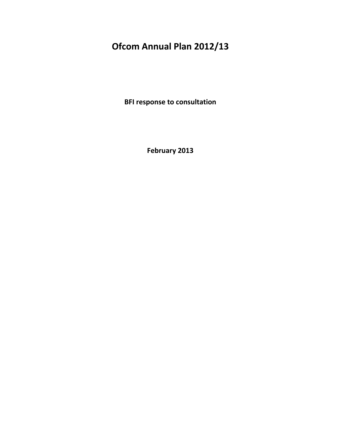# **Ofcom Annual Plan 2012/13**

**BFI response to consultation**

**February 2013**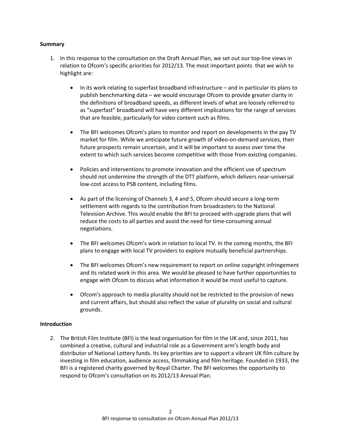#### **Summary**

- 1. In this response to the consultation on the Draft Annual Plan, we set out our top-line views in relation to Ofcom's specific priorities for 2012/13. The most important points that we wish to highlight are:
	- In its work relating to superfast broadband infrastructure and in particular its plans to publish benchmarking data – we would encourage Ofcom to provide greater clarity in the definitions of broadband speeds, as different levels of what are loosely referred to as "superfast" broadband will have very different implications for the range of services that are feasible, particularly for video content such as films.
	- The BFI welcomes Ofcom's plans to monitor and report on developments in the pay TV market for film. While we anticipate future growth of video-on-demand services, their future prospects remain uncertain, and it will be important to assess over time the extent to which such services become competitive with those from existing companies.
	- Policies and interventions to promote innovation and the efficient use of spectrum should not undermine the strength of the DTT platform, which delivers near-universal low-cost access to PSB content, including films.
	- As part of the licensing of Channels 3, 4 and 5, Ofcom should secure a long-term settlement with regards to the contribution from broadcasters to the National Television Archive. This would enable the BFI to proceed with upgrade plans that will reduce the costs to all parties and avoid the need for time-consuming annual negotiations.
	- The BFI welcomes Ofcom's work in relation to local TV. In the coming months, the BFI plans to engage with local TV providers to explore mutually beneficial partnerships.
	- The BFI welcomes Ofcom's new requirement to report on online copyright infringement and its related work in this area. We would be pleased to have further opportunities to engage with Ofcom to discuss what information it would be most useful to capture.
	- Ofcom's approach to media plurality should not be restricted to the provision of news and current affairs, but should also reflect the value of plurality on social and cultural grounds.

## **Introduction**

2. The British Film Institute (BFI) is the lead organisation for film in the UK and, since 2011, has combined a creative, cultural and industrial role as a Government arm's length body and distributor of National Lottery funds. Its key priorities are to support a vibrant UK film culture by investing in film education, audience access, filmmaking and film heritage. Founded in 1933, the BFI is a registered charity governed by Royal Charter. The BFI welcomes the opportunity to respond to Ofcom's consultation on its 2012/13 Annual Plan.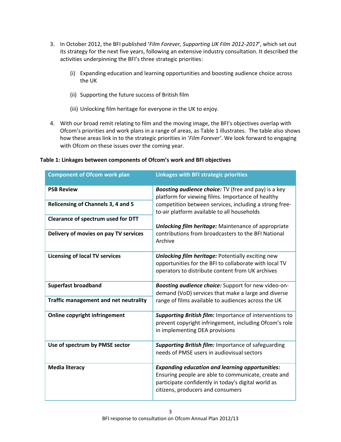- 3. In October 2012, the BFI published '*Film Forever, Supporting UK Film 2012-2017*', which set out its strategy for the next five years, following an extensive industry consultation. It described the activities underpinning the BFI's three strategic priorities:
	- (i) Expanding education and learning opportunities and boosting audience choice across the UK
	- (ii) Supporting the future success of British film
	- (iii) Unlocking film heritage for everyone in the UK to enjoy.
- 4. With our broad remit relating to film and the moving image, the BFI's objectives overlap with Ofcom's priorities and work plans in a range of areas, as Table 1 illustrates. The table also shows how these areas link in to the strategic priorities in '*Film Forever'*. We look forward to engaging with Ofcom on these issues over the coming year.

| <b>Component of Ofcom work plan</b>   | <b>Linkages with BFI strategic priorities</b>                                                                                                                                                             |
|---------------------------------------|-----------------------------------------------------------------------------------------------------------------------------------------------------------------------------------------------------------|
| <b>PSB Review</b>                     | <b>Boosting audience choice:</b> TV (free and pay) is a key<br>platform for viewing films. Importance of healthy                                                                                          |
| Relicensing of Channels 3, 4 and 5    | competition between services, including a strong free-<br>to-air platform available to all households                                                                                                     |
| Clearance of spectrum used for DTT    | <b>Unlocking film heritage:</b> Maintenance of appropriate                                                                                                                                                |
| Delivery of movies on pay TV services | contributions from broadcasters to the BFI National<br>Archive                                                                                                                                            |
| <b>Licensing of local TV services</b> | <b>Unlocking film heritage: Potentially exciting new</b><br>opportunities for the BFI to collaborate with local TV<br>operators to distribute content from UK archives                                    |
| <b>Superfast broadband</b>            | Boosting audience choice: Support for new video-on-<br>demand (VoD) services that make a large and diverse                                                                                                |
| Traffic management and net neutrality | range of films available to audiences across the UK                                                                                                                                                       |
| <b>Online copyright infringement</b>  | Supporting British film: Importance of interventions to<br>prevent copyright infringement, including Ofcom's role<br>in implementing DEA provisions                                                       |
| Use of spectrum by PMSE sector        | <b>Supporting British film: Importance of safeguarding</b><br>needs of PMSE users in audiovisual sectors                                                                                                  |
| <b>Media literacy</b>                 | <b>Expanding education and learning opportunities:</b><br>Ensuring people are able to communicate, create and<br>participate confidently in today's digital world as<br>citizens, producers and consumers |

# **Table 1: Linkages between components of Ofcom's work and BFI objectives**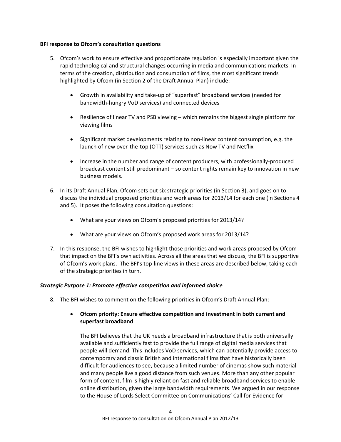#### **BFI response to Ofcom's consultation questions**

- 5. Ofcom's work to ensure effective and proportionate regulation is especially important given the rapid technological and structural changes occurring in media and communications markets. In terms of the creation, distribution and consumption of films, the most significant trends highlighted by Ofcom (in Section 2 of the Draft Annual Plan) include:
	- Growth in availability and take-up of "superfast" broadband services (needed for bandwidth-hungry VoD services) and connected devices
	- Resilience of linear TV and PSB viewing which remains the biggest single platform for viewing films
	- Significant market developments relating to non-linear content consumption, e.g. the launch of new over-the-top (OTT) services such as Now TV and Netflix
	- Increase in the number and range of content producers, with professionally-produced broadcast content still predominant – so content rights remain key to innovation in new business models.
- 6. In its Draft Annual Plan, Ofcom sets out six strategic priorities (in Section 3), and goes on to discuss the individual proposed priorities and work areas for 2013/14 for each one (in Sections 4 and 5). It poses the following consultation questions:
	- What are your views on Ofcom's proposed priorities for 2013/14?
	- What are your views on Ofcom's proposed work areas for 2013/14?
- 7. In this response, the BFI wishes to highlight those priorities and work areas proposed by Ofcom that impact on the BFI's own activities. Across all the areas that we discuss, the BFI is supportive of Ofcom's work plans. The BFI's top-line views in these areas are described below, taking each of the strategic priorities in turn.

## *Strategic Purpose 1: Promote effective competition and informed choice*

8. The BFI wishes to comment on the following priorities in Ofcom's Draft Annual Plan:

# • **Ofcom priority: Ensure effective competition and investment in both current and superfast broadband**

The BFI believes that the UK needs a broadband infrastructure that is both universally available and sufficiently fast to provide the full range of digital media services that people will demand. This includes VoD services, which can potentially provide access to contemporary and classic British and international films that have historically been difficult for audiences to see, because a limited number of cinemas show such material and many people live a good distance from such venues. More than any other popular form of content, film is highly reliant on fast and reliable broadband services to enable online distribution, given the large bandwidth requirements. We argued in our response to the House of Lords Select Committee on Communications' Call for Evidence for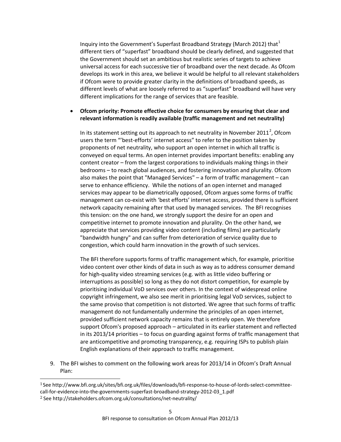Inquiry into the Government's Superfast Broadband Strategy (March 20[1](#page-4-0)2) that  $1$ different tiers of "superfast" broadband should be clearly defined, and suggested that the Government should set an ambitious but realistic series of targets to achieve universal access for each successive tier of broadband over the next decade. As Ofcom develops its work in this area, we believe it would be helpful to all relevant stakeholders if Ofcom were to provide greater clarity in the definitions of broadband speeds, as different levels of what are loosely referred to as "superfast" broadband will have very different implications for the range of services that are feasible.

## • **Ofcom priority: Promote effective choice for consumers by ensuring that clear and relevant information is readily available (traffic management and net neutrality)**

In its statement setting out its approach to net neutrality in November [2](#page-4-1)011<sup>2</sup>, Ofcom users the term "'best-efforts' internet access" to refer to the position taken by proponents of net neutrality, who support an open internet in which all traffic is conveyed on equal terms. An open internet provides important benefits: enabling any content creator – from the largest corporations to individuals making things in their bedrooms – to reach global audiences, and fostering innovation and plurality. Ofcom also makes the point that "Managed Services" – a form of traffic management – can serve to enhance efficiency. While the notions of an open internet and managed services may appear to be diametrically opposed, Ofcom argues some forms of traffic management can co-exist with 'best efforts' internet access, provided there is sufficient network capacity remaining after that used by managed services. The BFI recognises this tension: on the one hand, we strongly support the desire for an open and competitive internet to promote innovation and plurality. On the other hand, we appreciate that services providing video content (including films) are particularly "bandwidth hungry" and can suffer from deterioration of service quality due to congestion, which could harm innovation in the growth of such services.

The BFI therefore supports forms of traffic management which, for example, prioritise video content over other kinds of data in such as way as to address consumer demand for high-quality video streaming services (e.g. with as little video buffering or interruptions as possible) so long as they do not distort competition, for example by prioritising individual VoD services over others. In the context of widespread online copyright infringement, we also see merit in prioritising legal VoD services, subject to the same proviso that competition is not distorted. We agree that such forms of traffic management do not fundamentally undermine the principles of an open internet, provided sufficient network capacity remains that is entirely open. We therefore support Ofcom's proposed approach – articulated in its earlier statement and reflected in its 2013/14 priorities – to focus on guarding against forms of traffic management that are anticompetitive and promoting transparency, e.g. requiring ISPs to publish plain English explanations of their approach to traffic management.

9. The BFI wishes to comment on the following work areas for 2013/14 in Ofcom's Draft Annual Plan:

<span id="page-4-0"></span> <sup>1</sup> See http://www.bfi.org.uk/sites/bfi.org.uk/files/downloads/bfi-response-to-house-of-lords-select-committeecall-for-evidence-into-the-governments-superfast-broadband-strategy-2012-03\_1.pdf

<span id="page-4-1"></span><sup>2</sup> See http://stakeholders.ofcom.org.uk/consultations/net-neutrality/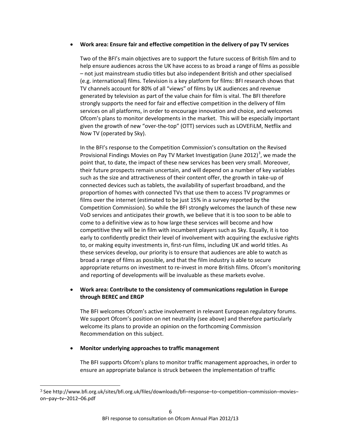#### • **Work area: Ensure fair and effective competition in the delivery of pay TV services**

Two of the BFI's main objectives are to support the future success of British film and to help ensure audiences across the UK have access to as broad a range of films as possible – not just mainstream studio titles but also independent British and other specialised (e.g. international) films. Television is a key platform for films: BFI research shows that TV channels account for 80% of all "views" of films by UK audiences and revenue generated by television as part of the value chain for film is vital. The BFI therefore strongly supports the need for fair and effective competition in the delivery of film services on all platforms, in order to encourage innovation and choice, and welcomes Ofcom's plans to monitor developments in the market. This will be especially important given the growth of new "over-the-top" (OTT) services such as LOVEFiLM, Netflix and Now TV (operated by Sky).

In the BFI's response to the Competition Commission's consultation on the Revised Provisional Findings Movies on Pay TV Market Investigation (June 2012)<sup>[3](#page-5-0)</sup>, we made the point that, to date, the impact of these new services has been very small. Moreover, their future prospects remain uncertain, and will depend on a number of key variables such as the size and attractiveness of their content offer, the growth in take-up of connected devices such as tablets, the availability of superfast broadband, and the proportion of homes with connected TVs that use them to access TV programmes or films over the internet (estimated to be just 15% in a survey reported by the Competition Commission). So while the BFI strongly welcomes the launch of these new VoD services and anticipates their growth, we believe that it is too soon to be able to come to a definitive view as to how large these services will become and how competitive they will be in film with incumbent players such as Sky. Equally, it is too early to confidently predict their level of involvement with acquiring the exclusive rights to, or making equity investments in, first-run films, including UK and world titles. As these services develop, our priority is to ensure that audiences are able to watch as broad a range of films as possible, and that the film industry is able to secure appropriate returns on investment to re-invest in more British films. Ofcom's monitoring and reporting of developments will be invaluable as these markets evolve.

# • **Work area: Contribute to the consistency of communications regulation in Europe through BEREC and ERGP**

The BFI welcomes Ofcom's active involvement in relevant European regulatory forums. We support Ofcom's position on net neutrality (see above) and therefore particularly welcome its plans to provide an opinion on the forthcoming Commission Recommendation on this subject.

## • **Monitor underlying approaches to traffic management**

The BFI supports Ofcom's plans to monitor traffic management approaches, in order to ensure an appropriate balance is struck between the implementation of traffic

<span id="page-5-0"></span> <sup>3</sup> See http://www.bfi.org.uk/sites/bfi.org.uk/files/downloads/bfi–response–to–competition–commission–movies– on–pay–tv–2012–06.pdf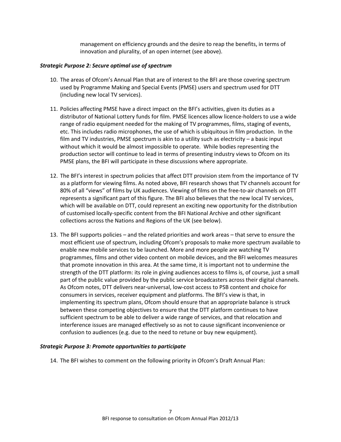management on efficiency grounds and the desire to reap the benefits, in terms of innovation and plurality, of an open internet (see above).

#### *Strategic Purpose 2: Secure optimal use of spectrum*

- 10. The areas of Ofcom's Annual Plan that are of interest to the BFI are those covering spectrum used by Programme Making and Special Events (PMSE) users and spectrum used for DTT (including new local TV services).
- 11. Policies affecting PMSE have a direct impact on the BFI's activities, given its duties as a distributor of National Lottery funds for film. PMSE licences allow licence-holders to use a wide range of radio equipment needed for the making of TV programmes, films, staging of events, etc. This includes radio microphones, the use of which is ubiquitous in film production. In the film and TV industries, PMSE spectrum is akin to a utility such as electricity – a basic input without which it would be almost impossible to operate. While bodies representing the production sector will continue to lead in terms of presenting industry views to Ofcom on its PMSE plans, the BFI will participate in these discussions where appropriate.
- 12. The BFI's interest in spectrum policies that affect DTT provision stem from the importance of TV as a platform for viewing films. As noted above, BFI research shows that TV channels account for 80% of all "views" of films by UK audiences. Viewing of films on the free-to-air channels on DTT represents a significant part of this figure. The BFI also believes that the new local TV services, which will be available on DTT, could represent an exciting new opportunity for the distribution of customised locally-specific content from the BFI National Archive and other significant collections across the Nations and Regions of the UK (see below).
- 13. The BFI supports policies and the related priorities and work areas that serve to ensure the most efficient use of spectrum, including Ofcom's proposals to make more spectrum available to enable new mobile services to be launched. More and more people are watching TV programmes, films and other video content on mobile devices, and the BFI welcomes measures that promote innovation in this area. At the same time, it is important not to undermine the strength of the DTT platform: its role in giving audiences access to films is, of course, just a small part of the public value provided by the public service broadcasters across their digital channels. As Ofcom notes, DTT delivers near-universal, low-cost access to PSB content and choice for consumers in services, receiver equipment and platforms. The BFI's view is that, in implementing its spectrum plans, Ofcom should ensure that an appropriate balance is struck between these competing objectives to ensure that the DTT platform continues to have sufficient spectrum to be able to deliver a wide range of services, and that relocation and interference issues are managed effectively so as not to cause significant inconvenience or confusion to audiences (e.g. due to the need to retune or buy new equipment).

## *Strategic Purpose 3: Promote opportunities to participate*

14. The BFI wishes to comment on the following priority in Ofcom's Draft Annual Plan: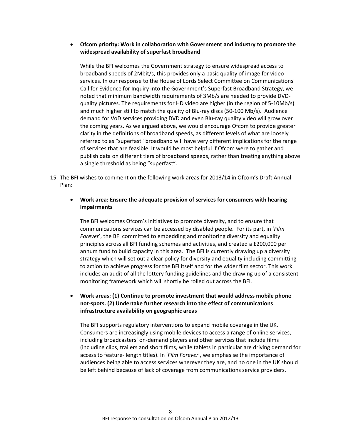# • **Ofcom priority: Work in collaboration with Government and industry to promote the widespread availability of superfast broadband**

While the BFI welcomes the Government strategy to ensure widespread access to broadband speeds of 2Mbit/s, this provides only a basic quality of image for video services. In our response to the House of Lords Select Committee on Communications' Call for Evidence for Inquiry into the Government's Superfast Broadband Strategy, we noted that minimum bandwidth requirements of 3Mb/s are needed to provide DVDquality pictures. The requirements for HD video are higher (in the region of 5-10Mb/s) and much higher still to match the quality of Blu-ray discs (50-100 Mb/s). Audience demand for VoD services providing DVD and even Blu-ray quality video will grow over the coming years. As we argued above, we would encourage Ofcom to provide greater clarity in the definitions of broadband speeds, as different levels of what are loosely referred to as "superfast" broadband will have very different implications for the range of services that are feasible. It would be most helpful if Ofcom were to gather and publish data on different tiers of broadband speeds, rather than treating anything above a single threshold as being "superfast".

15. The BFI wishes to comment on the following work areas for 2013/14 in Ofcom's Draft Annual Plan:

#### • **Work area: Ensure the adequate provision of services for consumers with hearing impairments**

The BFI welcomes Ofcom's initiatives to promote diversity, and to ensure that communications services can be accessed by disabled people. For its part, in '*Film Forever*', the BFI committed to embedding and monitoring diversity and equality principles across all BFI funding schemes and activities, and created a £200,000 per annum fund to build capacity in this area. The BFI is currently drawing up a diversity strategy which will set out a clear policy for diversity and equality including committing to action to achieve progress for the BFI itself and for the wider film sector. This work includes an audit of all the lottery funding guidelines and the drawing up of a consistent monitoring framework which will shortly be rolled out across the BFI.

# • **Work areas: (1) Continue to promote investment that would address mobile phone not-spots. (2) Undertake further research into the effect of communications infrastructure availability on geographic areas**

The BFI supports regulatory interventions to expand mobile coverage in the UK. Consumers are increasingly using mobile devices to access a range of online services, including broadcasters' on-demand players and other services that include films (including clips, trailers and short films, while tablets in particular are driving demand for access to feature- length titles). In '*Film Forever*', we emphasise the importance of audiences being able to access services wherever they are, and no one in the UK should be left behind because of lack of coverage from communications service providers.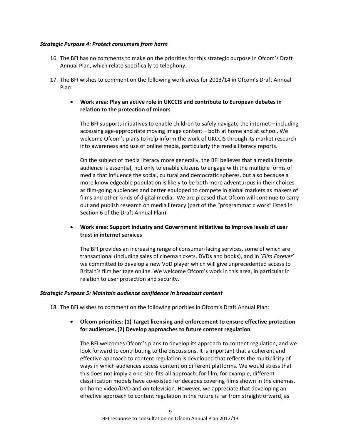#### *Strategic Purpose 4: Protect consumers from harm*

- 16. The BFI has no comments to make on the priorities for this strategic purpose in Ofcom's Draft Annual Plan, which relate specifically to telephony.
- 17. The BFI wishes to comment on the following work areas for 2013/14 in Ofcom's Draft Annual Plan:
	- **Work area: Play an active role in UKCCIS and contribute to European debates in relation to the protection of minors**

The BFI supports initiatives to enable children to safely navigate the internet – including accessing age-appropriate moving image content – both at home and at school. We welcome Ofcom's plans to help inform the work of UKCCIS through its market research into awareness and use of online media, particularly the media literacy reports.

On the subject of media literacy more generally, the BFI believes that a media literate audience is essential, not only to enable citizens to engage with the multiple forms of media that influence the social, cultural and democratic spheres, but also because a more knowledgeable population is likely to be both more adventurous in their choices as film-going audiences and better equipped to compete in global markets as makers of films and other kinds of digital media. We are pleased that Ofcom will continue to carry out and publish research on media literacy (part of the "programmatic work" listed in Section 6 of the Draft Annual Plan).

# • **Work area: Support industry and Government initiatives to improve levels of user trust in internet services**

The BFI provides an increasing range of consumer-facing services, some of which are transactional (including sales of cinema tickets, DVDs and books), and in '*Film Forever*' we committed to develop a new VoD player which will give unprecedented access to Britain's film heritage online. We welcome Ofcom's work in this area, in particular in relation to user protection and security.

## *Strategic Purpose 5: Maintain audience confidence in broadcast content*

18. The BFI wishes to comment on the following priorities in Ofcom's Draft Annual Plan:

## • **Ofcom priorities: (1) Target licensing and enforcement to ensure effective protection for audiences. (2) Develop approaches to future content regulation**

The BFI welcomes Ofcom's plans to develop its approach to content regulation, and we look forward to contributing to the discussions. It is important that a coherent and effective approach to content regulation is developed that reflects the multiplicity of ways in which audiences access content on different platforms. We would stress that this does not imply a one-size-fits-all approach: for film, for example, different classification models have co-existed for decades covering films shown in the cinemas, on home video/DVD and on television. However, we appreciate that developing an effective approach to content regulation in the future is far from straightforward, as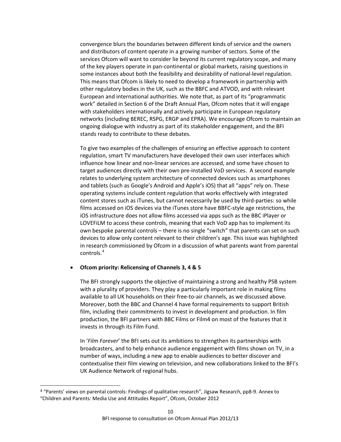convergence blurs the boundaries between different kinds of service and the owners and distributors of content operate in a growing number of sectors. Some of the services Ofcom will want to consider lie beyond its current regulatory scope, and many of the key players operate in pan-continental or global markets, raising questions in some instances about both the feasibility and desirability of national-level regulation. This means that Ofcom is likely to need to develop a framework in partnership with other regulatory bodies in the UK, such as the BBFC and ATVOD, and with relevant European and international authorities. We note that, as part of its "programmatic work" detailed in Section 6 of the Draft Annual Plan, Ofcom notes that it will engage with stakeholders internationally and actively participate in European regulatory networks (including BEREC, RSPG, ERGP and EPRA). We encourage Ofcom to maintain an ongoing dialogue with industry as part of its stakeholder engagement, and the BFI stands ready to contribute to these debates.

To give two examples of the challenges of ensuring an effective approach to content regulation, smart TV manufacturers have developed their own user interfaces which influence how linear and non-linear services are accessed, and some have chosen to target audiences directly with their own pre-installed VoD services. A second example relates to underlying system architecture of connected devices such as smartphones and tablets (such as Google's Android and Apple's iOS) that all "apps" rely on. These operating systems include content regulation that works effectively with integrated content stores such as iTunes, but cannot necessarily be used by third-parties: so while films accessed on iOS devices via the iTunes store have BBFC-style age restrictions, the iOS infrastructure does not allow films accessed via apps such as the BBC iPlayer or LOVEFiLM to access these controls, meaning that each VoD app has to implement its own bespoke parental controls – there is no single "switch" that parents can set on such devices to allow only content relevant to their children's age. This issue was highlighted in research commissioned by Ofcom in a discussion of what parents want from parental controls. [4](#page-9-0)

#### • **Ofcom priority: Relicensing of Channels 3, 4 & 5**

The BFI strongly supports the objective of maintaining a strong and healthy PSB system with a plurality of providers. They play a particularly important role in making films available to all UK households on their free-to-air channels, as we discussed above. Moreover, both the BBC and Channel 4 have formal requirements to support British film, including their commitments to invest in development and production. In film production, the BFI partners with BBC Films or Film4 on most of the features that it invests in through its Film Fund.

In '*Film Forever*' the BFI sets out its ambitions to strengthen its partnerships with broadcasters, and to help enhance audience engagement with films shown on TV, in a number of ways, including a new app to enable audiences to better discover and contextualise their film viewing on television, and new collaborations linked to the BFI's UK Audience Network of regional hubs.

<span id="page-9-0"></span> <sup>4</sup> "Parents' views on parental controls: Findings of qualitative research", Jigsaw Research, pp8-9. Annex to "Children and Parents: Media Use and Attitudes Report", Ofcom, October 2012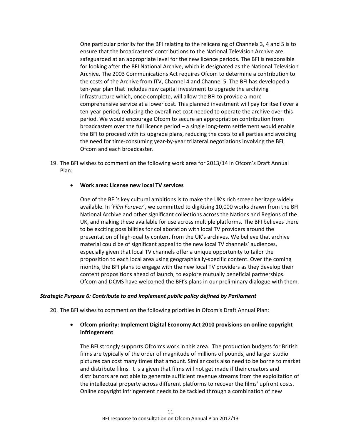One particular priority for the BFI relating to the relicensing of Channels 3, 4 and 5 is to ensure that the broadcasters' contributions to the National Television Archive are safeguarded at an appropriate level for the new licence periods. The BFI is responsible for looking after the BFI National Archive, which is designated as the National Television Archive. The 2003 Communications Act requires Ofcom to determine a contribution to the costs of the Archive from ITV, Channel 4 and Channel 5. The BFI has developed a ten-year plan that includes new capital investment to upgrade the archiving infrastructure which, once complete, will allow the BFI to provide a more comprehensive service at a lower cost. This planned investment will pay for itself over a ten-year period, reducing the overall net cost needed to operate the archive over this period. We would encourage Ofcom to secure an appropriation contribution from broadcasters over the full licence period – a single long-term settlement would enable the BFI to proceed with its upgrade plans, reducing the costs to all parties and avoiding the need for time-consuming year-by-year trilateral negotiations involving the BFI, Ofcom and each broadcaster.

19. The BFI wishes to comment on the following work area for 2013/14 in Ofcom's Draft Annual Plan:

#### • **Work area: License new local TV services**

One of the BFI's key cultural ambitions is to make the UK's rich screen heritage widely available. In '*Film Forever*', we committed to digitising 10,000 works drawn from the BFI National Archive and other significant collections across the Nations and Regions of the UK, and making these available for use across multiple platforms. The BFI believes there to be exciting possibilities for collaboration with local TV providers around the presentation of high-quality content from the UK's archives. We believe that archive material could be of significant appeal to the new local TV channels' audiences, especially given that local TV channels offer a unique opportunity to tailor the proposition to each local area using geographically-specific content. Over the coming months, the BFI plans to engage with the new local TV providers as they develop their content propositions ahead of launch, to explore mutually beneficial partnerships. Ofcom and DCMS have welcomed the BFI's plans in our preliminary dialogue with them.

#### *Strategic Purpose 6: Contribute to and implement public policy defined by Parliament*

20. The BFI wishes to comment on the following priorities in Ofcom's Draft Annual Plan:

#### • **Ofcom priority: Implement Digital Economy Act 2010 provisions on online copyright infringement**

The BFI strongly supports Ofcom's work in this area. The production budgets for British films are typically of the order of magnitude of millions of pounds, and larger studio pictures can cost many times that amount. Similar costs also need to be borne to market and distribute films. It is a given that films will not get made if their creators and distributors are not able to generate sufficient revenue streams from the exploitation of the intellectual property across different platforms to recover the films' upfront costs. Online copyright infringement needs to be tackled through a combination of new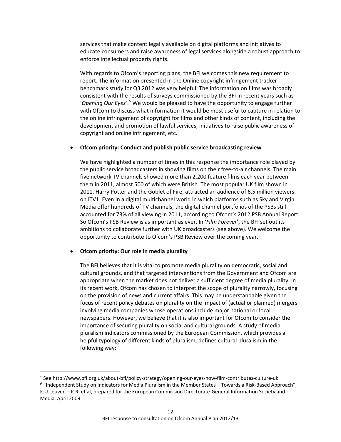services that make content legally available on digital platforms and initiatives to educate consumers and raise awareness of legal services alongside a robust approach to enforce intellectual property rights.

With regards to Ofcom's reporting plans, the BFI welcomes this new requirement to report. The information presented in the Online copyright infringement tracker benchmark study for Q3 2012 was very helpful. The information on films was broadly consistent with the results of surveys commissioned by the BFI in recent years such as 'Opening Our Eyes'.<sup>[5](#page-11-0)</sup> We would be pleased to have the opportunity to engage further with Ofcom to discuss what information it would be most useful to capture in relation to the online infringement of copyright for films and other kinds of content, including the development and promotion of lawful services, initiatives to raise public awareness of copyright and online infringement, etc.

#### • **Ofcom priority: Conduct and publish public service broadcasting review**

We have highlighted a number of times in this response the importance role played by the public service broadcasters in showing films on their free-to-air channels. The main five network TV channels showed more than 2,200 feature films each year between them in 2011, almost 500 of which were British. The most popular UK film shown in 2011, Harry Potter and the Goblet of Fire, attracted an audience of 6.5 million viewers on ITV1. Even in a digital multichannel world in which platforms such as Sky and Virgin Media offer hundreds of TV channels, the digital channel portfolios of the PSBs still accounted for 73% of all viewing in 2011, according to Ofcom's 2012 PSB Annual Report. So Ofcom's PSB Review is as important as ever. In '*Film Forever*', the BFI set out its ambitions to collaborate further with UK broadcasters (see above). We welcome the opportunity to contribute to Ofcom's PSB Review over the coming year.

#### • **Ofcom priority: Our role in media plurality**

The BFI believes that it is vital to promote media plurality on democratic, social and cultural grounds, and that targeted interventions from the Government and Ofcom are appropriate when the market does not deliver a sufficient degree of media plurality. In its recent work, Ofcom has chosen to interpret the scope of plurality narrowly, focusing on the provision of news and current affairs. This may be understandable given the focus of recent policy debates on plurality on the impact of (actual or planned) mergers involving media companies whose operations include major national or local newspapers. However, we believe that it is also important for Ofcom to consider the importance of securing plurality on social and cultural grounds. A study of media pluralism indicators commissioned by the European Commission, which provides a helpful typology of different kinds of pluralism, defines cultural pluralism in the following way: [6](#page-11-1)

<span id="page-11-1"></span><span id="page-11-0"></span> <sup>5</sup> See http://www.bfi.org.uk/about-bfi/policy-strategy/opening-our-eyes-how-film-contributes-culture-uk <sup>6</sup> "Independent Study on Indicators for Media Pluralism in the Member States – Towards a Risk-Based Approach", K.U.Leuven – ICRI et al, prepared for the European Commission Directorate-General Information Society and Media, April 2009